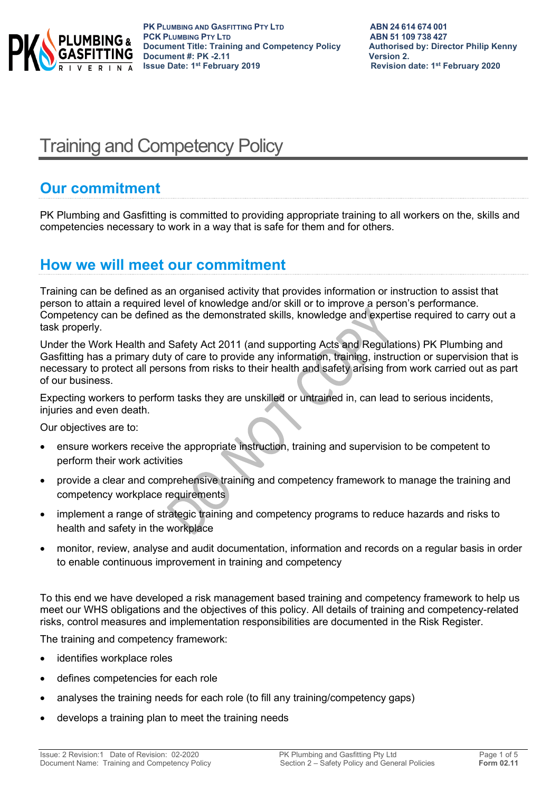

**PK PLUMBING AND GASFITTING PTY LTD ABN 24 614 674 001 PCK PLUMBING PTY LTD**<br> **PCK PLUMBING PTY LTD**<br> **Document Title: Training and Competency Policy Authorised by: Director Philip Kenny Document Title: Training and Competency Policy Authorised by: Authorised by: Director Philip Renally Renally Renally Renally Renally Renally Renally Renally Renally Renally Renally Renally Renally Renally Renally Renally Document #: PK -2.11**<br>**Issue Date: 1<sup>st</sup> February 2019** 

# Training and Competency Policy

## **Our commitment**

PK Plumbing and Gasfitting is committed to providing appropriate training to all workers on the, skills and competencies necessary to work in a way that is safe for them and for others.

### **How we will meet our commitment**

Training can be defined as an organised activity that provides information or instruction to assist that person to attain a required level of knowledge and/or skill or to improve a person's performance. Competency can be defined as the demonstrated skills, knowledge and expertise required to carry out a task properly.

Under the Work Health and Safety Act 2011 (and supporting Acts and Regulations) PK Plumbing and Gasfitting has a primary duty of care to provide any information, training, instruction or supervision that is necessary to protect all persons from risks to their health and safety arising from work carried out as part of our business.

Expecting workers to perform tasks they are unskilled or untrained in, can lead to serious incidents, injuries and even death.

Our objectives are to:

- ensure workers receive the appropriate instruction, training and supervision to be competent to perform their work activities
- provide a clear and comprehensive training and competency framework to manage the training and competency workplace requirements
- implement a range of strategic training and competency programs to reduce hazards and risks to health and safety in the workplace
- monitor, review, analyse and audit documentation, information and records on a regular basis in order to enable continuous improvement in training and competency

To this end we have developed a risk management based training and competency framework to help us meet our WHS obligations and the objectives of this policy. All details of training and competency-related risks, control measures and implementation responsibilities are documented in the Risk Register.

The training and competency framework:

- identifies workplace roles
- defines competencies for each role
- analyses the training needs for each role (to fill any training/competency gaps)
- develops a training plan to meet the training needs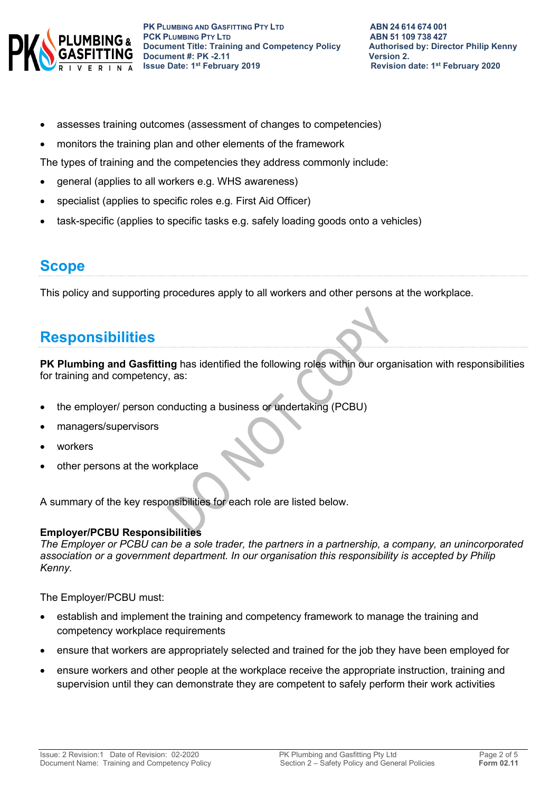

- assesses training outcomes (assessment of changes to competencies)
- monitors the training plan and other elements of the framework

The types of training and the competencies they address commonly include:

- general (applies to all workers e.g. WHS awareness)
- specialist (applies to specific roles e.g. First Aid Officer)
- task-specific (applies to specific tasks e.g. safely loading goods onto a vehicles)

### **Scope**

This policy and supporting procedures apply to all workers and other persons at the workplace.

### **Responsibilities**

**PK Plumbing and Gasfitting** has identified the following roles within our organisation with responsibilities for training and competency, as:

- the employer/ person conducting a business or undertaking (PCBU)
- managers/supervisors
- workers
- other persons at the workplace

A summary of the key responsibilities for each role are listed below.

### **Employer/PCBU Responsibilities**

*The Employer or PCBU can be a sole trader, the partners in a partnership, a company, an unincorporated association or a government department. In our organisation this responsibility is accepted by Philip Kenny.*

The Employer/PCBU must:

- establish and implement the training and competency framework to manage the training and competency workplace requirements
- ensure that workers are appropriately selected and trained for the job they have been employed for
- ensure workers and other people at the workplace receive the appropriate instruction, training and supervision until they can demonstrate they are competent to safely perform their work activities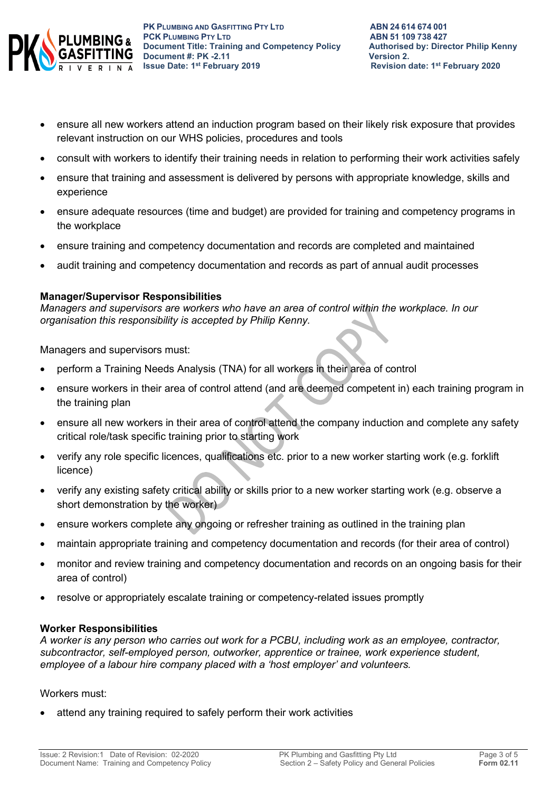

- ensure all new workers attend an induction program based on their likely risk exposure that provides relevant instruction on our WHS policies, procedures and tools
- consult with workers to identify their training needs in relation to performing their work activities safely
- ensure that training and assessment is delivered by persons with appropriate knowledge, skills and experience
- ensure adequate resources (time and budget) are provided for training and competency programs in the workplace
- ensure training and competency documentation and records are completed and maintained
- audit training and competency documentation and records as part of annual audit processes

#### **Manager/Supervisor Responsibilities**

*Managers and supervisors are workers who have an area of control within the workplace. In our organisation this responsibility is accepted by Philip Kenny.*

Managers and supervisors must:

- perform a Training Needs Analysis (TNA) for all workers in their area of control
- ensure workers in their area of control attend (and are deemed competent in) each training program in the training plan
- ensure all new workers in their area of control attend the company induction and complete any safety critical role/task specific training prior to starting work
- verify any role specific licences, qualifications etc. prior to a new worker starting work (e.g. forklift licence)
- verify any existing safety critical ability or skills prior to a new worker starting work (e.g. observe a short demonstration by the worker)
- ensure workers complete any ongoing or refresher training as outlined in the training plan
- maintain appropriate training and competency documentation and records (for their area of control)
- monitor and review training and competency documentation and records on an ongoing basis for their area of control)
- resolve or appropriately escalate training or competency-related issues promptly

#### **Worker Responsibilities**

*A worker is any person who carries out work for a PCBU, including work as an employee, contractor, subcontractor, self-employed person, outworker, apprentice or trainee, work experience student, employee of a labour hire company placed with a 'host employer' and volunteers.*

#### Workers must:

attend any training required to safely perform their work activities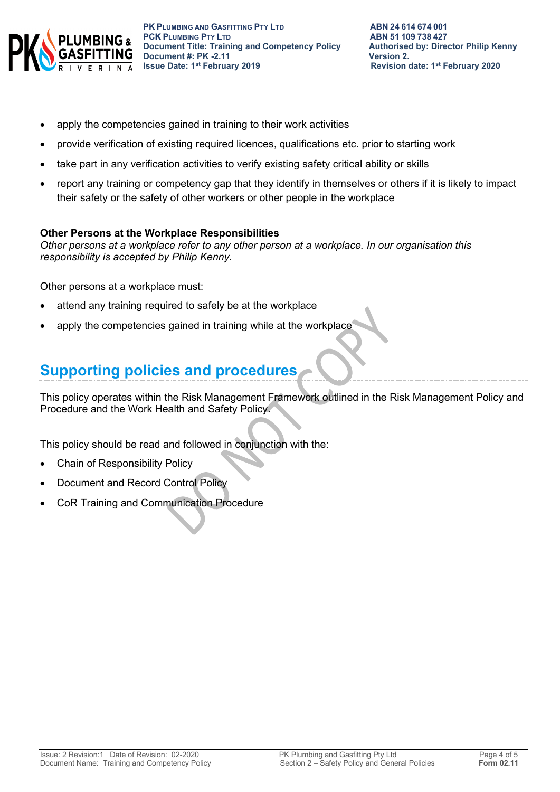

- apply the competencies gained in training to their work activities
- provide verification of existing required licences, qualifications etc. prior to starting work
- take part in any verification activities to verify existing safety critical ability or skills
- report any training or competency gap that they identify in themselves or others if it is likely to impact their safety or the safety of other workers or other people in the workplace

#### **Other Persons at the Workplace Responsibilities**

*Other persons at a workplace refer to any other person at a workplace. In our organisation this responsibility is accepted by Philip Kenny.*

Other persons at a workplace must:

- attend any training required to safely be at the workplace
- apply the competencies gained in training while at the workplace

# **Supporting policies and procedures**

This policy operates within the Risk Management Framework outlined in the Risk Management Policy and Procedure and the Work Health and Safety Policy.

This policy should be read and followed in conjunction with the:

- Chain of Responsibility Policy
- Document and Record Control Policy
- CoR Training and Communication Procedure